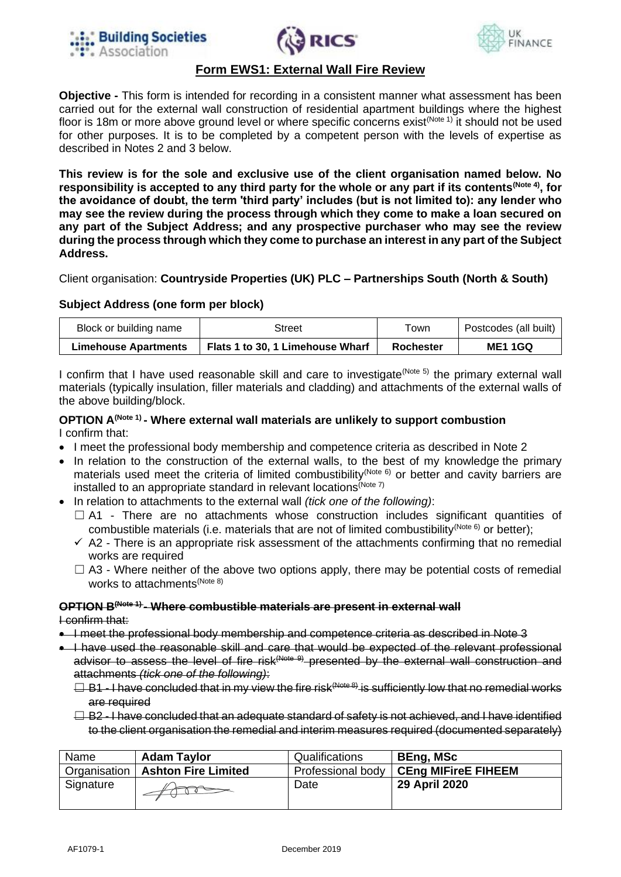





## **Form EWS1: External Wall Fire Review**

**Objective -** This form is intended for recording in a consistent manner what assessment has been carried out for the external wall construction of residential apartment buildings where the highest floor is 18m or more above ground level or where specific concerns exist<sup>(Note 1)</sup> it should not be used for other purposes. It is to be completed by a competent person with the levels of expertise as described in Notes 2 and 3 below.

**This review is for the sole and exclusive use of the client organisation named below. No responsibility is accepted to any third party for the whole or any part if its contents(Note 4) , for the avoidance of doubt, the term 'third party' includes (but is not limited to): any lender who may see the review during the process through which they come to make a loan secured on any part of the Subject Address; and any prospective purchaser who may see the review during the process through which they come to purchase an interest in any part of the Subject Address.**

Client organisation: **Countryside Properties (UK) PLC – Partnerships South (North & South)**

### **Subject Address (one form per block)**

| Block or building name      | Street                           | ⊤own      | Postcodes (all built) |
|-----------------------------|----------------------------------|-----------|-----------------------|
| <b>Limehouse Apartments</b> | Flats 1 to 30, 1 Limehouse Wharf | Rochester | <b>ME1 1GQ</b>        |

I confirm that I have used reasonable skill and care to investigate  $(N^{\text{ote }5})$  the primary external wall materials (typically insulation, filler materials and cladding) and attachments of the external walls of the above building/block.

#### **OPTION A(Note 1) - Where external wall materials are unlikely to support combustion** I confirm that:

- I meet the professional body membership and competence criteria as described in Note 2
- In relation to the construction of the external walls, to the best of my knowledge the primary materials used meet the criteria of limited combustibility<sup>(Note 6)</sup> or better and cavity barriers are installed to an appropriate standard in relevant locations<sup>(Note 7)</sup>
- In relation to attachments to the external wall *(tick one of the following)*:
	- $\Box$  A1 There are no attachments whose construction includes significant quantities of combustible materials (i.e. materials that are not of limited combustibility<sup>(Note 6)</sup> or better):
	- $\checkmark$  A2 There is an appropriate risk assessment of the attachments confirming that no remedial works are required
	- $\Box$  A3 Where neither of the above two options apply, there may be potential costs of remedial works to attachments<sup>(Note 8)</sup>

# **OPTION B(Note 1) - Where combustible materials are present in external wall**

I confirm that:

- I meet the professional body membership and competence criteria as described in Note 3
- I have used the reasonable skill and care that would be expected of the relevant professional advisor to assess the level of fire risk<sup>(Note 9)</sup> presented by the external wall construction and attachments *(tick one of the following)*:
	- $\Box$  B1 I have concluded that in my view the fire risk<sup>(Note 8)</sup> is sufficiently low that no remedial works are required
	- $\Box$  B2 I have concluded that an adequate standard of safety is not achieved, and I have identified to the client organisation the remedial and interim measures required (documented separately)

| Name         | <b>Adam Taylor</b>         | Qualifications | <b>BEng, MSc</b>                        |
|--------------|----------------------------|----------------|-----------------------------------------|
| Organisation | <b>Ashton Fire Limited</b> |                | Professional body   CEng MIFireE FIHEEM |
| Signature    |                            | Date           | 29 April 2020                           |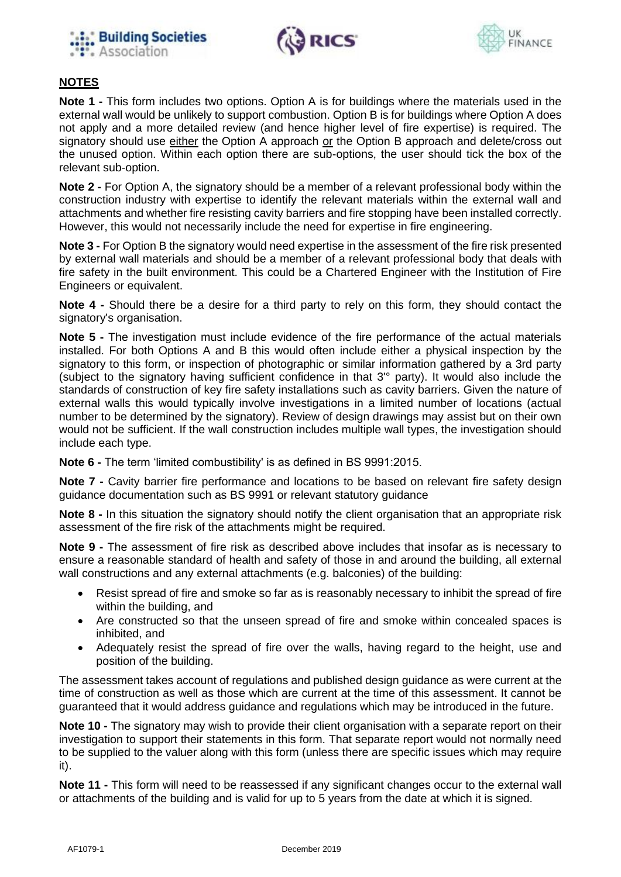





# **NOTES**

**Note 1 -** This form includes two options. Option A is for buildings where the materials used in the external wall would be unlikely to support combustion. Option B is for buildings where Option A does not apply and a more detailed review (and hence higher level of fire expertise) is required. The signatory should use either the Option A approach or the Option B approach and delete/cross out the unused option. Within each option there are sub-options, the user should tick the box of the relevant sub-option.

**Note 2 -** For Option A, the signatory should be a member of a relevant professional body within the construction industry with expertise to identify the relevant materials within the external wall and attachments and whether fire resisting cavity barriers and fire stopping have been installed correctly. However, this would not necessarily include the need for expertise in fire engineering.

**Note 3 -** For Option B the signatory would need expertise in the assessment of the fire risk presented by external wall materials and should be a member of a relevant professional body that deals with fire safety in the built environment. This could be a Chartered Engineer with the Institution of Fire Engineers or equivalent.

**Note 4 -** Should there be a desire for a third party to rely on this form, they should contact the signatory's organisation.

**Note 5 -** The investigation must include evidence of the fire performance of the actual materials installed. For both Options A and B this would often include either a physical inspection by the signatory to this form, or inspection of photographic or similar information gathered by a 3rd party (subject to the signatory having sufficient confidence in that 3'° party). It would also include the standards of construction of key fire safety installations such as cavity barriers. Given the nature of external walls this would typically involve investigations in a limited number of locations (actual number to be determined by the signatory). Review of design drawings may assist but on their own would not be sufficient. If the wall construction includes multiple wall types, the investigation should include each type.

**Note 6 -** The term 'limited combustibility' is as defined in BS 9991:2015.

**Note 7 -** Cavity barrier fire performance and locations to be based on relevant fire safety design guidance documentation such as BS 9991 or relevant statutory guidance

**Note 8 -** In this situation the signatory should notify the client organisation that an appropriate risk assessment of the fire risk of the attachments might be required.

**Note 9 -** The assessment of fire risk as described above includes that insofar as is necessary to ensure a reasonable standard of health and safety of those in and around the building, all external wall constructions and any external attachments (e.g. balconies) of the building:

- Resist spread of fire and smoke so far as is reasonably necessary to inhibit the spread of fire within the building, and
- Are constructed so that the unseen spread of fire and smoke within concealed spaces is inhibited, and
- Adequately resist the spread of fire over the walls, having regard to the height, use and position of the building.

The assessment takes account of regulations and published design guidance as were current at the time of construction as well as those which are current at the time of this assessment. It cannot be guaranteed that it would address guidance and regulations which may be introduced in the future.

**Note 10 -** The signatory may wish to provide their client organisation with a separate report on their investigation to support their statements in this form. That separate report would not normally need to be supplied to the valuer along with this form (unless there are specific issues which may require it).

**Note 11 -** This form will need to be reassessed if any significant changes occur to the external wall or attachments of the building and is valid for up to 5 years from the date at which it is signed.